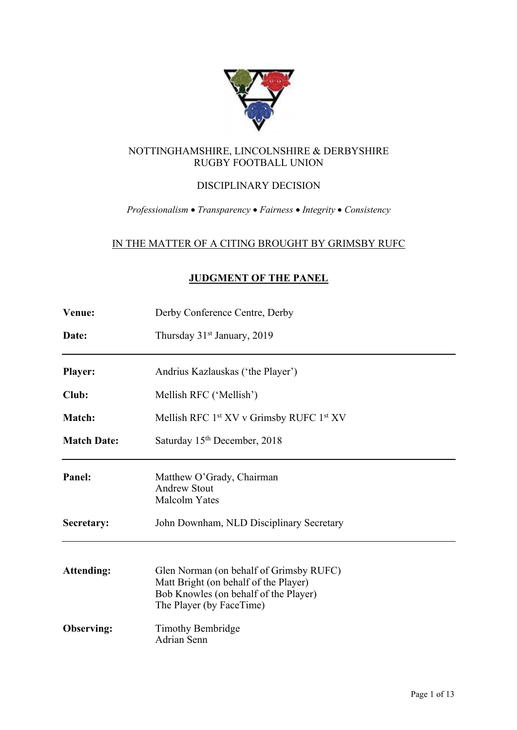

## NOTTINGHAMSHIRE, LINCOLNSHIRE & DERBYSHIRE RUGBY FOOTBALL UNION

# DISCIPLINARY DECISION

## *Professionalism* • *Transparency* • *Fairness* • *Integrity* • *Consistency*

# IN THE MATTER OF A CITING BROUGHT BY GRIMSBY RUFC

# **JUDGMENT OF THE PANEL**

| <b>Venue:</b>      | Derby Conference Centre, Derby                                                                                                                        |
|--------------------|-------------------------------------------------------------------------------------------------------------------------------------------------------|
| Date:              | Thursday 31 <sup>st</sup> January, 2019                                                                                                               |
| <b>Player:</b>     | Andrius Kazlauskas ('the Player')                                                                                                                     |
| Club:              | Mellish RFC ('Mellish')                                                                                                                               |
| <b>Match:</b>      | Mellish RFC 1st XV v Grimsby RUFC 1st XV                                                                                                              |
| <b>Match Date:</b> | Saturday 15 <sup>th</sup> December, 2018                                                                                                              |
| Panel:             | Matthew O'Grady, Chairman<br><b>Andrew Stout</b><br>Malcolm Yates                                                                                     |
| Secretary:         | John Downham, NLD Disciplinary Secretary                                                                                                              |
| <b>Attending:</b>  | Glen Norman (on behalf of Grimsby RUFC)<br>Matt Bright (on behalf of the Player)<br>Bob Knowles (on behalf of the Player)<br>The Player (by FaceTime) |
| Observing:         | Timothy Bembridge<br><b>Adrian Senn</b>                                                                                                               |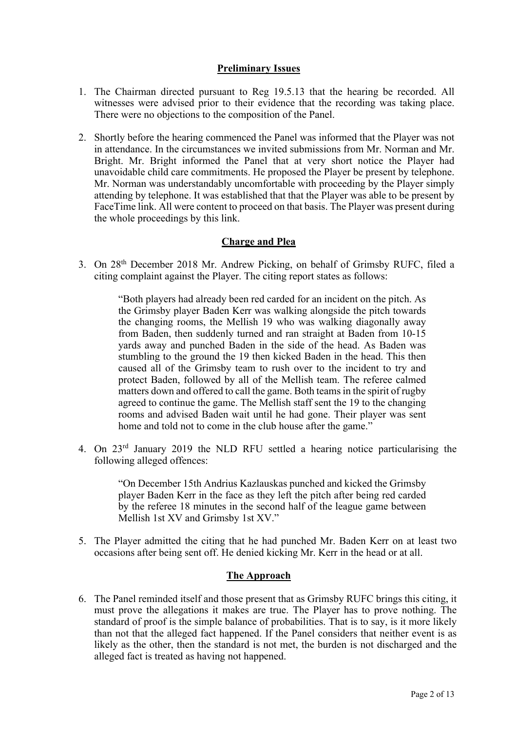## **Preliminary Issues**

- 1. The Chairman directed pursuant to Reg 19.5.13 that the hearing be recorded. All witnesses were advised prior to their evidence that the recording was taking place. There were no objections to the composition of the Panel.
- 2. Shortly before the hearing commenced the Panel was informed that the Player was not in attendance. In the circumstances we invited submissions from Mr. Norman and Mr. Bright. Mr. Bright informed the Panel that at very short notice the Player had unavoidable child care commitments. He proposed the Player be present by telephone. Mr. Norman was understandably uncomfortable with proceeding by the Player simply attending by telephone. It was established that that the Player was able to be present by FaceTime link. All were content to proceed on that basis. The Player was present during the whole proceedings by this link.

## **Charge and Plea**

3. On 28th December 2018 Mr. Andrew Picking, on behalf of Grimsby RUFC, filed a citing complaint against the Player. The citing report states as follows:

> "Both players had already been red carded for an incident on the pitch. As the Grimsby player Baden Kerr was walking alongside the pitch towards the changing rooms, the Mellish 19 who was walking diagonally away from Baden, then suddenly turned and ran straight at Baden from 10-15 yards away and punched Baden in the side of the head. As Baden was stumbling to the ground the 19 then kicked Baden in the head. This then caused all of the Grimsby team to rush over to the incident to try and protect Baden, followed by all of the Mellish team. The referee calmed matters down and offered to call the game. Both teams in the spirit of rugby agreed to continue the game. The Mellish staff sent the 19 to the changing rooms and advised Baden wait until he had gone. Their player was sent home and told not to come in the club house after the game."

4. On 23rd January 2019 the NLD RFU settled a hearing notice particularising the following alleged offences:

> "On December 15th Andrius Kazlauskas punched and kicked the Grimsby player Baden Kerr in the face as they left the pitch after being red carded by the referee 18 minutes in the second half of the league game between Mellish 1st XV and Grimsby 1st XV."

5. The Player admitted the citing that he had punched Mr. Baden Kerr on at least two occasions after being sent off. He denied kicking Mr. Kerr in the head or at all.

## **The Approach**

6. The Panel reminded itself and those present that as Grimsby RUFC brings this citing, it must prove the allegations it makes are true. The Player has to prove nothing. The standard of proof is the simple balance of probabilities. That is to say, is it more likely than not that the alleged fact happened. If the Panel considers that neither event is as likely as the other, then the standard is not met, the burden is not discharged and the alleged fact is treated as having not happened.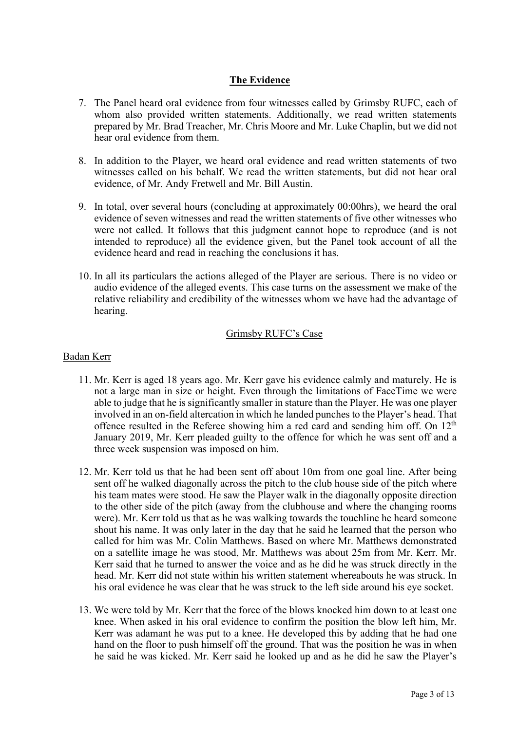# **The Evidence**

- 7. The Panel heard oral evidence from four witnesses called by Grimsby RUFC, each of whom also provided written statements. Additionally, we read written statements prepared by Mr. Brad Treacher, Mr. Chris Moore and Mr. Luke Chaplin, but we did not hear oral evidence from them.
- 8. In addition to the Player, we heard oral evidence and read written statements of two witnesses called on his behalf. We read the written statements, but did not hear oral evidence, of Mr. Andy Fretwell and Mr. Bill Austin.
- 9. In total, over several hours (concluding at approximately 00:00hrs), we heard the oral evidence of seven witnesses and read the written statements of five other witnesses who were not called. It follows that this judgment cannot hope to reproduce (and is not intended to reproduce) all the evidence given, but the Panel took account of all the evidence heard and read in reaching the conclusions it has.
- 10. In all its particulars the actions alleged of the Player are serious. There is no video or audio evidence of the alleged events. This case turns on the assessment we make of the relative reliability and credibility of the witnesses whom we have had the advantage of hearing.

## Grimsby RUFC's Case

## Badan Kerr

- 11. Mr. Kerr is aged 18 years ago. Mr. Kerr gave his evidence calmly and maturely. He is not a large man in size or height. Even through the limitations of FaceTime we were able to judge that he is significantly smaller in stature than the Player. He was one player involved in an on-field altercation in which he landed punches to the Player's head. That offence resulted in the Referee showing him a red card and sending him off. On 12th January 2019, Mr. Kerr pleaded guilty to the offence for which he was sent off and a three week suspension was imposed on him.
- 12. Mr. Kerr told us that he had been sent off about 10m from one goal line. After being sent off he walked diagonally across the pitch to the club house side of the pitch where his team mates were stood. He saw the Player walk in the diagonally opposite direction to the other side of the pitch (away from the clubhouse and where the changing rooms were). Mr. Kerr told us that as he was walking towards the touchline he heard someone shout his name. It was only later in the day that he said he learned that the person who called for him was Mr. Colin Matthews. Based on where Mr. Matthews demonstrated on a satellite image he was stood, Mr. Matthews was about 25m from Mr. Kerr. Mr. Kerr said that he turned to answer the voice and as he did he was struck directly in the head. Mr. Kerr did not state within his written statement whereabouts he was struck. In his oral evidence he was clear that he was struck to the left side around his eye socket.
- 13. We were told by Mr. Kerr that the force of the blows knocked him down to at least one knee. When asked in his oral evidence to confirm the position the blow left him, Mr. Kerr was adamant he was put to a knee. He developed this by adding that he had one hand on the floor to push himself off the ground. That was the position he was in when he said he was kicked. Mr. Kerr said he looked up and as he did he saw the Player's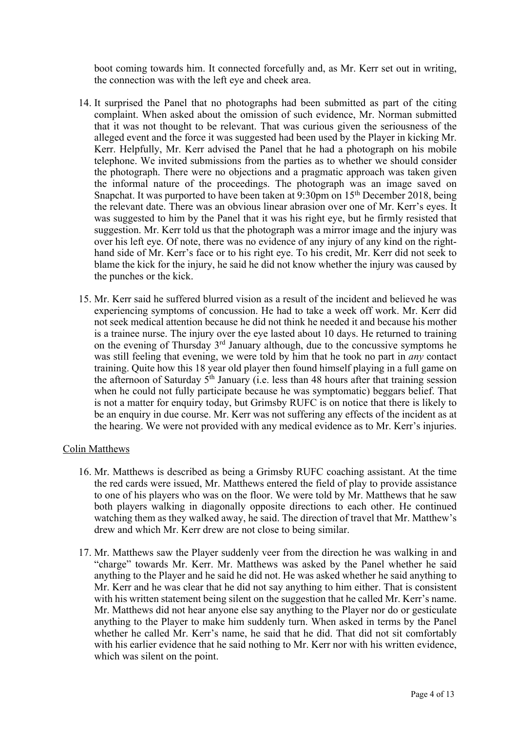boot coming towards him. It connected forcefully and, as Mr. Kerr set out in writing, the connection was with the left eye and cheek area.

- 14. It surprised the Panel that no photographs had been submitted as part of the citing complaint. When asked about the omission of such evidence, Mr. Norman submitted that it was not thought to be relevant. That was curious given the seriousness of the alleged event and the force it was suggested had been used by the Player in kicking Mr. Kerr. Helpfully, Mr. Kerr advised the Panel that he had a photograph on his mobile telephone. We invited submissions from the parties as to whether we should consider the photograph. There were no objections and a pragmatic approach was taken given the informal nature of the proceedings. The photograph was an image saved on Snapchat. It was purported to have been taken at 9:30pm on 15<sup>th</sup> December 2018, being the relevant date. There was an obvious linear abrasion over one of Mr. Kerr's eyes. It was suggested to him by the Panel that it was his right eye, but he firmly resisted that suggestion. Mr. Kerr told us that the photograph was a mirror image and the injury was over his left eye. Of note, there was no evidence of any injury of any kind on the righthand side of Mr. Kerr's face or to his right eye. To his credit, Mr. Kerr did not seek to blame the kick for the injury, he said he did not know whether the injury was caused by the punches or the kick.
- 15. Mr. Kerr said he suffered blurred vision as a result of the incident and believed he was experiencing symptoms of concussion. He had to take a week off work. Mr. Kerr did not seek medical attention because he did not think he needed it and because his mother is a trainee nurse. The injury over the eye lasted about 10 days. He returned to training on the evening of Thursday 3rd January although, due to the concussive symptoms he was still feeling that evening, we were told by him that he took no part in *any* contact training. Quite how this 18 year old player then found himself playing in a full game on the afternoon of Saturday  $5<sup>th</sup>$  January (i.e. less than 48 hours after that training session when he could not fully participate because he was symptomatic) beggars belief. That is not a matter for enquiry today, but Grimsby RUFC is on notice that there is likely to be an enquiry in due course. Mr. Kerr was not suffering any effects of the incident as at the hearing. We were not provided with any medical evidence as to Mr. Kerr's injuries.

#### Colin Matthews

- 16. Mr. Matthews is described as being a Grimsby RUFC coaching assistant. At the time the red cards were issued, Mr. Matthews entered the field of play to provide assistance to one of his players who was on the floor. We were told by Mr. Matthews that he saw both players walking in diagonally opposite directions to each other. He continued watching them as they walked away, he said. The direction of travel that Mr. Matthew's drew and which Mr. Kerr drew are not close to being similar.
- 17. Mr. Matthews saw the Player suddenly veer from the direction he was walking in and "charge" towards Mr. Kerr. Mr. Matthews was asked by the Panel whether he said anything to the Player and he said he did not. He was asked whether he said anything to Mr. Kerr and he was clear that he did not say anything to him either. That is consistent with his written statement being silent on the suggestion that he called Mr. Kerr's name. Mr. Matthews did not hear anyone else say anything to the Player nor do or gesticulate anything to the Player to make him suddenly turn. When asked in terms by the Panel whether he called Mr. Kerr's name, he said that he did. That did not sit comfortably with his earlier evidence that he said nothing to Mr. Kerr nor with his written evidence, which was silent on the point.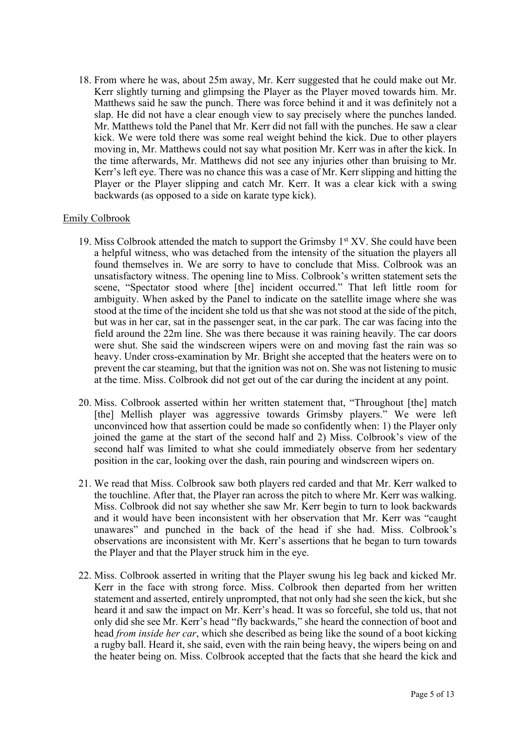18. From where he was, about 25m away, Mr. Kerr suggested that he could make out Mr. Kerr slightly turning and glimpsing the Player as the Player moved towards him. Mr. Matthews said he saw the punch. There was force behind it and it was definitely not a slap. He did not have a clear enough view to say precisely where the punches landed. Mr. Matthews told the Panel that Mr. Kerr did not fall with the punches. He saw a clear kick. We were told there was some real weight behind the kick. Due to other players moving in, Mr. Matthews could not say what position Mr. Kerr was in after the kick. In the time afterwards, Mr. Matthews did not see any injuries other than bruising to Mr. Kerr's left eye. There was no chance this was a case of Mr. Kerr slipping and hitting the Player or the Player slipping and catch Mr. Kerr. It was a clear kick with a swing backwards (as opposed to a side on karate type kick).

## Emily Colbrook

- 19. Miss Colbrook attended the match to support the Grimsby  $1<sup>st</sup> XV$ . She could have been a helpful witness, who was detached from the intensity of the situation the players all found themselves in. We are sorry to have to conclude that Miss. Colbrook was an unsatisfactory witness. The opening line to Miss. Colbrook's written statement sets the scene, "Spectator stood where [the] incident occurred." That left little room for ambiguity. When asked by the Panel to indicate on the satellite image where she was stood at the time of the incident she told us that she was not stood at the side of the pitch, but was in her car, sat in the passenger seat, in the car park. The car was facing into the field around the 22m line. She was there because it was raining heavily. The car doors were shut. She said the windscreen wipers were on and moving fast the rain was so heavy. Under cross-examination by Mr. Bright she accepted that the heaters were on to prevent the car steaming, but that the ignition was not on. She was not listening to music at the time. Miss. Colbrook did not get out of the car during the incident at any point.
- 20. Miss. Colbrook asserted within her written statement that, "Throughout [the] match [the] Mellish player was aggressive towards Grimsby players." We were left unconvinced how that assertion could be made so confidently when: 1) the Player only joined the game at the start of the second half and 2) Miss. Colbrook's view of the second half was limited to what she could immediately observe from her sedentary position in the car, looking over the dash, rain pouring and windscreen wipers on.
- 21. We read that Miss. Colbrook saw both players red carded and that Mr. Kerr walked to the touchline. After that, the Player ran across the pitch to where Mr. Kerr was walking. Miss. Colbrook did not say whether she saw Mr. Kerr begin to turn to look backwards and it would have been inconsistent with her observation that Mr. Kerr was "caught unawares" and punched in the back of the head if she had. Miss. Colbrook's observations are inconsistent with Mr. Kerr's assertions that he began to turn towards the Player and that the Player struck him in the eye.
- 22. Miss. Colbrook asserted in writing that the Player swung his leg back and kicked Mr. Kerr in the face with strong force. Miss. Colbrook then departed from her written statement and asserted, entirely unprompted, that not only had she seen the kick, but she heard it and saw the impact on Mr. Kerr's head. It was so forceful, she told us, that not only did she see Mr. Kerr's head "fly backwards," she heard the connection of boot and head *from inside her car*, which she described as being like the sound of a boot kicking a rugby ball. Heard it, she said, even with the rain being heavy, the wipers being on and the heater being on. Miss. Colbrook accepted that the facts that she heard the kick and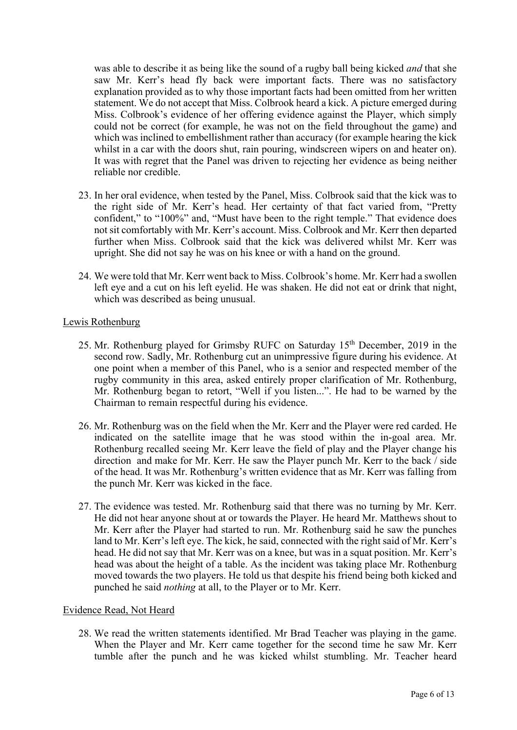was able to describe it as being like the sound of a rugby ball being kicked *and* that she saw Mr. Kerr's head fly back were important facts. There was no satisfactory explanation provided as to why those important facts had been omitted from her written statement. We do not accept that Miss. Colbrook heard a kick. A picture emerged during Miss. Colbrook's evidence of her offering evidence against the Player, which simply could not be correct (for example, he was not on the field throughout the game) and which was inclined to embellishment rather than accuracy (for example hearing the kick whilst in a car with the doors shut, rain pouring, windscreen wipers on and heater on). It was with regret that the Panel was driven to rejecting her evidence as being neither reliable nor credible.

- 23. In her oral evidence, when tested by the Panel, Miss. Colbrook said that the kick was to the right side of Mr. Kerr's head. Her certainty of that fact varied from, "Pretty confident," to "100%" and, "Must have been to the right temple." That evidence does not sit comfortably with Mr. Kerr's account. Miss. Colbrook and Mr. Kerr then departed further when Miss. Colbrook said that the kick was delivered whilst Mr. Kerr was upright. She did not say he was on his knee or with a hand on the ground.
- 24. We were told that Mr. Kerr went back to Miss. Colbrook's home. Mr. Kerr had a swollen left eye and a cut on his left eyelid. He was shaken. He did not eat or drink that night, which was described as being unusual.

#### Lewis Rothenburg

- 25. Mr. Rothenburg played for Grimsby RUFC on Saturday 15th December, 2019 in the second row. Sadly, Mr. Rothenburg cut an unimpressive figure during his evidence. At one point when a member of this Panel, who is a senior and respected member of the rugby community in this area, asked entirely proper clarification of Mr. Rothenburg, Mr. Rothenburg began to retort, "Well if you listen...". He had to be warned by the Chairman to remain respectful during his evidence.
- 26. Mr. Rothenburg was on the field when the Mr. Kerr and the Player were red carded. He indicated on the satellite image that he was stood within the in-goal area. Mr. Rothenburg recalled seeing Mr. Kerr leave the field of play and the Player change his direction and make for Mr. Kerr. He saw the Player punch Mr. Kerr to the back / side of the head. It was Mr. Rothenburg's written evidence that as Mr. Kerr was falling from the punch Mr. Kerr was kicked in the face.
- 27. The evidence was tested. Mr. Rothenburg said that there was no turning by Mr. Kerr. He did not hear anyone shout at or towards the Player. He heard Mr. Matthews shout to Mr. Kerr after the Player had started to run. Mr. Rothenburg said he saw the punches land to Mr. Kerr's left eye. The kick, he said, connected with the right said of Mr. Kerr's head. He did not say that Mr. Kerr was on a knee, but was in a squat position. Mr. Kerr's head was about the height of a table. As the incident was taking place Mr. Rothenburg moved towards the two players. He told us that despite his friend being both kicked and punched he said *nothing* at all, to the Player or to Mr. Kerr.

#### Evidence Read, Not Heard

28. We read the written statements identified. Mr Brad Teacher was playing in the game. When the Player and Mr. Kerr came together for the second time he saw Mr. Kerr tumble after the punch and he was kicked whilst stumbling. Mr. Teacher heard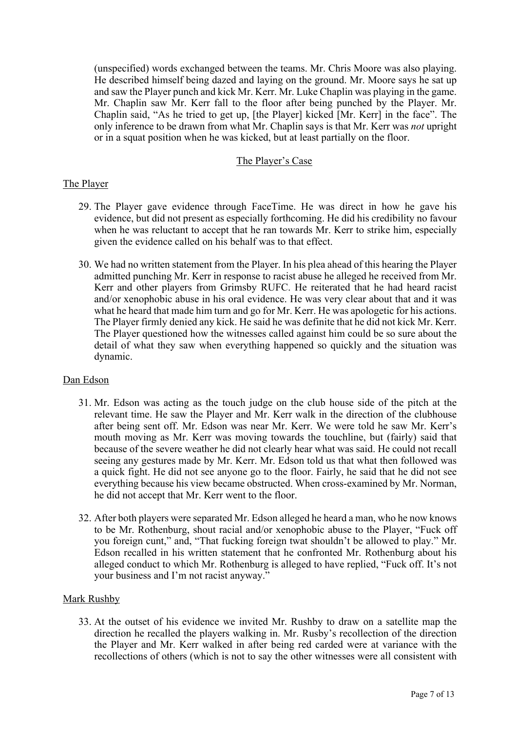(unspecified) words exchanged between the teams. Mr. Chris Moore was also playing. He described himself being dazed and laying on the ground. Mr. Moore says he sat up and saw the Player punch and kick Mr. Kerr. Mr. Luke Chaplin was playing in the game. Mr. Chaplin saw Mr. Kerr fall to the floor after being punched by the Player. Mr. Chaplin said, "As he tried to get up, [the Player] kicked [Mr. Kerr] in the face". The only inference to be drawn from what Mr. Chaplin says is that Mr. Kerr was *not* upright or in a squat position when he was kicked, but at least partially on the floor.

## The Player's Case

#### The Player

- 29. The Player gave evidence through FaceTime. He was direct in how he gave his evidence, but did not present as especially forthcoming. He did his credibility no favour when he was reluctant to accept that he ran towards Mr. Kerr to strike him, especially given the evidence called on his behalf was to that effect.
- 30. We had no written statement from the Player. In his plea ahead of this hearing the Player admitted punching Mr. Kerr in response to racist abuse he alleged he received from Mr. Kerr and other players from Grimsby RUFC. He reiterated that he had heard racist and/or xenophobic abuse in his oral evidence. He was very clear about that and it was what he heard that made him turn and go for Mr. Kerr. He was apologetic for his actions. The Player firmly denied any kick. He said he was definite that he did not kick Mr. Kerr. The Player questioned how the witnesses called against him could be so sure about the detail of what they saw when everything happened so quickly and the situation was dynamic.

## Dan Edson

- 31. Mr. Edson was acting as the touch judge on the club house side of the pitch at the relevant time. He saw the Player and Mr. Kerr walk in the direction of the clubhouse after being sent off. Mr. Edson was near Mr. Kerr. We were told he saw Mr. Kerr's mouth moving as Mr. Kerr was moving towards the touchline, but (fairly) said that because of the severe weather he did not clearly hear what was said. He could not recall seeing any gestures made by Mr. Kerr. Mr. Edson told us that what then followed was a quick fight. He did not see anyone go to the floor. Fairly, he said that he did not see everything because his view became obstructed. When cross-examined by Mr. Norman, he did not accept that Mr. Kerr went to the floor.
- 32. After both players were separated Mr. Edson alleged he heard a man, who he now knows to be Mr. Rothenburg, shout racial and/or xenophobic abuse to the Player, "Fuck off you foreign cunt," and, "That fucking foreign twat shouldn't be allowed to play." Mr. Edson recalled in his written statement that he confronted Mr. Rothenburg about his alleged conduct to which Mr. Rothenburg is alleged to have replied, "Fuck off. It's not your business and I'm not racist anyway."

## Mark Rushby

33. At the outset of his evidence we invited Mr. Rushby to draw on a satellite map the direction he recalled the players walking in. Mr. Rusby's recollection of the direction the Player and Mr. Kerr walked in after being red carded were at variance with the recollections of others (which is not to say the other witnesses were all consistent with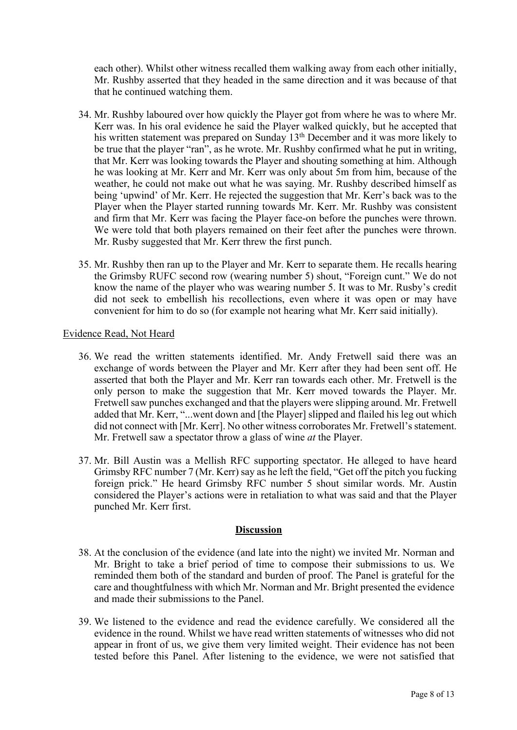each other). Whilst other witness recalled them walking away from each other initially, Mr. Rushby asserted that they headed in the same direction and it was because of that that he continued watching them.

- 34. Mr. Rushby laboured over how quickly the Player got from where he was to where Mr. Kerr was. In his oral evidence he said the Player walked quickly, but he accepted that his written statement was prepared on Sunday 13<sup>th</sup> December and it was more likely to be true that the player "ran", as he wrote. Mr. Rushby confirmed what he put in writing, that Mr. Kerr was looking towards the Player and shouting something at him. Although he was looking at Mr. Kerr and Mr. Kerr was only about 5m from him, because of the weather, he could not make out what he was saying. Mr. Rushby described himself as being 'upwind' of Mr. Kerr. He rejected the suggestion that Mr. Kerr's back was to the Player when the Player started running towards Mr. Kerr. Mr. Rushby was consistent and firm that Mr. Kerr was facing the Player face-on before the punches were thrown. We were told that both players remained on their feet after the punches were thrown. Mr. Rusby suggested that Mr. Kerr threw the first punch.
- 35. Mr. Rushby then ran up to the Player and Mr. Kerr to separate them. He recalls hearing the Grimsby RUFC second row (wearing number 5) shout, "Foreign cunt." We do not know the name of the player who was wearing number 5. It was to Mr. Rusby's credit did not seek to embellish his recollections, even where it was open or may have convenient for him to do so (for example not hearing what Mr. Kerr said initially).

## Evidence Read, Not Heard

- 36. We read the written statements identified. Mr. Andy Fretwell said there was an exchange of words between the Player and Mr. Kerr after they had been sent off. He asserted that both the Player and Mr. Kerr ran towards each other. Mr. Fretwell is the only person to make the suggestion that Mr. Kerr moved towards the Player. Mr. Fretwell saw punches exchanged and that the players were slipping around. Mr. Fretwell added that Mr. Kerr, "...went down and [the Player] slipped and flailed his leg out which did not connect with [Mr. Kerr]. No other witness corroborates Mr. Fretwell's statement. Mr. Fretwell saw a spectator throw a glass of wine *at* the Player.
- 37. Mr. Bill Austin was a Mellish RFC supporting spectator. He alleged to have heard Grimsby RFC number 7 (Mr. Kerr) say as he left the field, "Get off the pitch you fucking foreign prick." He heard Grimsby RFC number 5 shout similar words. Mr. Austin considered the Player's actions were in retaliation to what was said and that the Player punched Mr. Kerr first.

## **Discussion**

- 38. At the conclusion of the evidence (and late into the night) we invited Mr. Norman and Mr. Bright to take a brief period of time to compose their submissions to us. We reminded them both of the standard and burden of proof. The Panel is grateful for the care and thoughtfulness with which Mr. Norman and Mr. Bright presented the evidence and made their submissions to the Panel.
- 39. We listened to the evidence and read the evidence carefully. We considered all the evidence in the round. Whilst we have read written statements of witnesses who did not appear in front of us, we give them very limited weight. Their evidence has not been tested before this Panel. After listening to the evidence, we were not satisfied that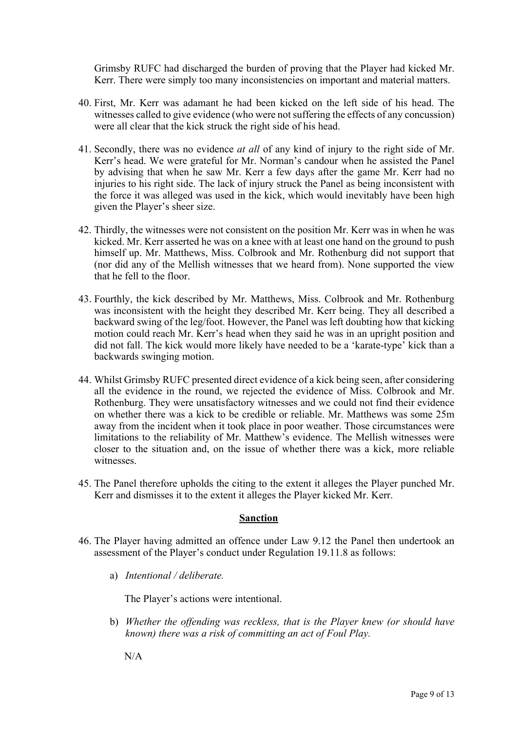Grimsby RUFC had discharged the burden of proving that the Player had kicked Mr. Kerr. There were simply too many inconsistencies on important and material matters.

- 40. First, Mr. Kerr was adamant he had been kicked on the left side of his head. The witnesses called to give evidence (who were not suffering the effects of any concussion) were all clear that the kick struck the right side of his head.
- 41. Secondly, there was no evidence *at all* of any kind of injury to the right side of Mr. Kerr's head. We were grateful for Mr. Norman's candour when he assisted the Panel by advising that when he saw Mr. Kerr a few days after the game Mr. Kerr had no injuries to his right side. The lack of injury struck the Panel as being inconsistent with the force it was alleged was used in the kick, which would inevitably have been high given the Player's sheer size.
- 42. Thirdly, the witnesses were not consistent on the position Mr. Kerr was in when he was kicked. Mr. Kerr asserted he was on a knee with at least one hand on the ground to push himself up. Mr. Matthews, Miss. Colbrook and Mr. Rothenburg did not support that (nor did any of the Mellish witnesses that we heard from). None supported the view that he fell to the floor.
- 43. Fourthly, the kick described by Mr. Matthews, Miss. Colbrook and Mr. Rothenburg was inconsistent with the height they described Mr. Kerr being. They all described a backward swing of the leg/foot. However, the Panel was left doubting how that kicking motion could reach Mr. Kerr's head when they said he was in an upright position and did not fall. The kick would more likely have needed to be a 'karate-type' kick than a backwards swinging motion.
- 44. Whilst Grimsby RUFC presented direct evidence of a kick being seen, after considering all the evidence in the round, we rejected the evidence of Miss. Colbrook and Mr. Rothenburg. They were unsatisfactory witnesses and we could not find their evidence on whether there was a kick to be credible or reliable. Mr. Matthews was some 25m away from the incident when it took place in poor weather. Those circumstances were limitations to the reliability of Mr. Matthew's evidence. The Mellish witnesses were closer to the situation and, on the issue of whether there was a kick, more reliable witnesses.
- 45. The Panel therefore upholds the citing to the extent it alleges the Player punched Mr. Kerr and dismisses it to the extent it alleges the Player kicked Mr. Kerr.

## **Sanction**

- 46. The Player having admitted an offence under Law 9.12 the Panel then undertook an assessment of the Player's conduct under Regulation 19.11.8 as follows:
	- a) *Intentional / deliberate.*

The Player's actions were intentional.

b) *Whether the offending was reckless, that is the Player knew (or should have known) there was a risk of committing an act of Foul Play.*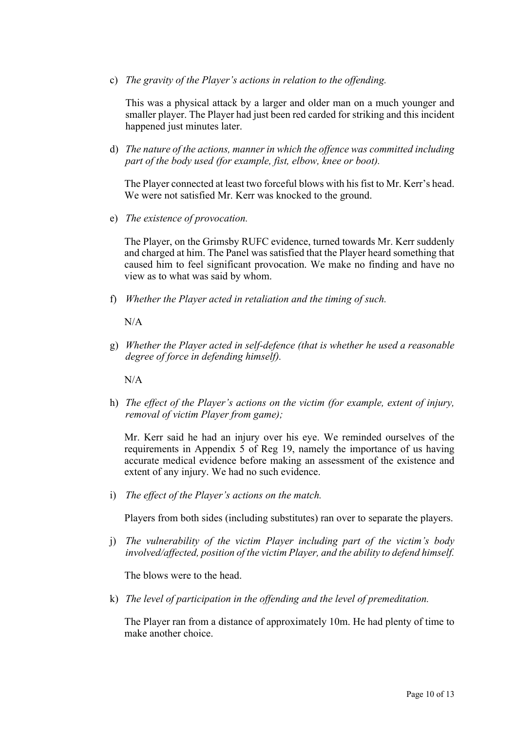c) *The gravity of the Player's actions in relation to the offending.*

This was a physical attack by a larger and older man on a much younger and smaller player. The Player had just been red carded for striking and this incident happened just minutes later.

d) *The nature of the actions, manner in which the offence was committed including part of the body used (for example, fist, elbow, knee or boot).*

The Player connected at least two forceful blows with his fist to Mr. Kerr's head. We were not satisfied Mr. Kerr was knocked to the ground.

e) *The existence of provocation.*

The Player, on the Grimsby RUFC evidence, turned towards Mr. Kerr suddenly and charged at him. The Panel was satisfied that the Player heard something that caused him to feel significant provocation. We make no finding and have no view as to what was said by whom.

f) *Whether the Player acted in retaliation and the timing of such.*

 $N/A$ 

g) *Whether the Player acted in self-defence (that is whether he used a reasonable degree of force in defending himself).*

N/A

h) *The effect of the Player's actions on the victim (for example, extent of injury, removal of victim Player from game);* 

Mr. Kerr said he had an injury over his eye. We reminded ourselves of the requirements in Appendix 5 of Reg 19, namely the importance of us having accurate medical evidence before making an assessment of the existence and extent of any injury. We had no such evidence.

i) *The effect of the Player's actions on the match.*

Players from both sides (including substitutes) ran over to separate the players.

j) *The vulnerability of the victim Player including part of the victim's body involved/affected, position of the victim Player, and the ability to defend himself.*

The blows were to the head.

k) *The level of participation in the offending and the level of premeditation.*

The Player ran from a distance of approximately 10m. He had plenty of time to make another choice.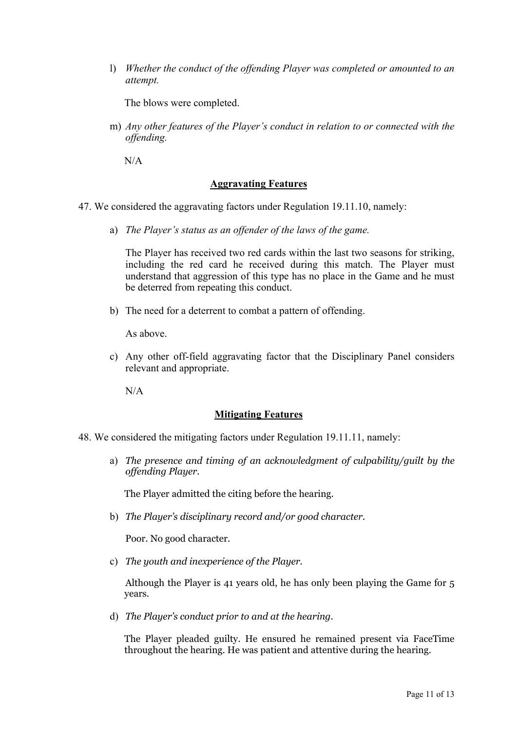l) *Whether the conduct of the offending Player was completed or amounted to an attempt.*

The blows were completed.

m) *Any other features of the Player's conduct in relation to or connected with the offending.*

N/A

#### **Aggravating Features**

- 47. We considered the aggravating factors under Regulation 19.11.10, namely:
	- a) *The Player's status as an offender of the laws of the game.*

The Player has received two red cards within the last two seasons for striking, including the red card he received during this match. The Player must understand that aggression of this type has no place in the Game and he must be deterred from repeating this conduct.

b) The need for a deterrent to combat a pattern of offending.

As above.

c) Any other off-field aggravating factor that the Disciplinary Panel considers relevant and appropriate.

N/A

## **Mitigating Features**

- 48. We considered the mitigating factors under Regulation 19.11.11, namely:
	- a) *The presence and timing of an acknowledgment of culpability/guilt by the offending Player.*

The Player admitted the citing before the hearing.

b) *The Player's disciplinary record and/or good character.*

Poor. No good character.

c) *The youth and inexperience of the Player.*

Although the Player is 41 years old, he has only been playing the Game for 5 years.

d) *The Player's conduct prior to and at the hearing*.

The Player pleaded guilty. He ensured he remained present via FaceTime throughout the hearing. He was patient and attentive during the hearing.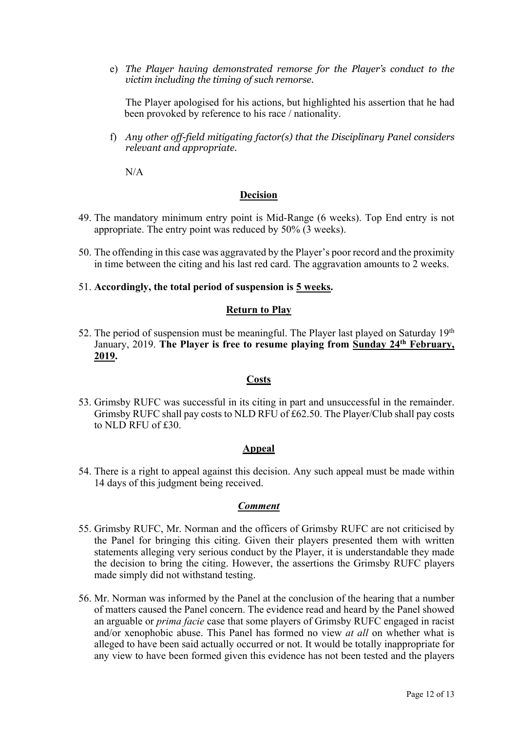e) *The Player having demonstrated remorse for the Player's conduct to the victim including the timing of such remorse.*

The Player apologised for his actions, but highlighted his assertion that he had been provoked by reference to his race / nationality.

f) *Any other off-field mitigating factor(s) that the Disciplinary Panel considers relevant and appropriate.* 

N/A

#### **Decision**

- 49. The mandatory minimum entry point is Mid-Range (6 weeks). Top End entry is not appropriate. The entry point was reduced by 50% (3 weeks).
- 50. The offending in this case was aggravated by the Player's poor record and the proximity in time between the citing and his last red card. The aggravation amounts to 2 weeks.
- 51. **Accordingly, the total period of suspension is 5 weeks.**

#### **Return to Play**

52. The period of suspension must be meaningful. The Player last played on Saturday  $19<sup>th</sup>$ January, 2019. **The Player is free to resume playing from Sunday 24th February, 2019.**

#### **Costs**

53. Grimsby RUFC was successful in its citing in part and unsuccessful in the remainder. Grimsby RUFC shall pay costs to NLD RFU of £62.50. The Player/Club shall pay costs to NLD RFU of £30.

## **Appeal**

54. There is a right to appeal against this decision. Any such appeal must be made within 14 days of this judgment being received.

#### *Comment*

- 55. Grimsby RUFC, Mr. Norman and the officers of Grimsby RUFC are not criticised by the Panel for bringing this citing. Given their players presented them with written statements alleging very serious conduct by the Player, it is understandable they made the decision to bring the citing. However, the assertions the Grimsby RUFC players made simply did not withstand testing.
- 56. Mr. Norman was informed by the Panel at the conclusion of the hearing that a number of matters caused the Panel concern. The evidence read and heard by the Panel showed an arguable or *prima facie* case that some players of Grimsby RUFC engaged in racist and/or xenophobic abuse. This Panel has formed no view *at all* on whether what is alleged to have been said actually occurred or not. It would be totally inappropriate for any view to have been formed given this evidence has not been tested and the players